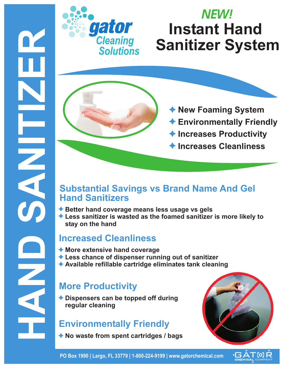

## **Instant Hand Sanitizer System** *NEW!*

- **New Foaming System**
- **Environmentally Friendly**
- **Increases Productivity**
- **Increases Cleanliness**

#### **Substantial Savings vs Brand Name And Gel Hand Sanitizers**

- ◆ Better hand coverage means less usage vs gels
- **Less sanitizer is wasted as the foamed sanitizer is more likely to stay on the hand**

#### **Increased Cleanliness**

- **More extensive hand coverage**
- **Less chance of dispenser running out of sanitizer**
- **Available refillable cartridge eliminates tank cleaning**

### **More Productivity**

**Dispensers can be topped off during regular cleaning**

#### **Environmentally Friendly**

**No waste from spent cartridges / bags**



**PO Box 1990 | Largo, FL 33779 | 1-800-224-9199 | www.gatorchemical.com**